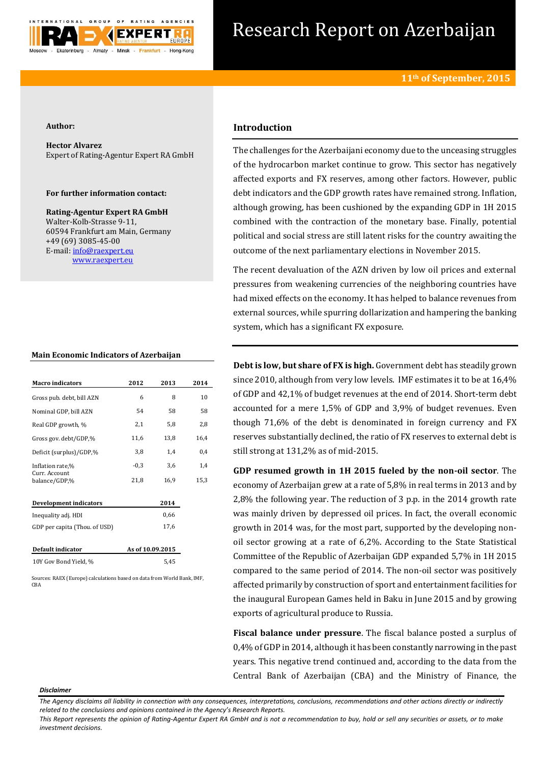

# Research Report on Azerbaijan

#### **Author:**

**Hector Alvarez** Expert of Rating-Agentur Expert RA GmbH

## **For further information contact:**

**Rating-Agentur Expert RA GmbH** Walter-Kolb-Strasse 9-11, 60594 Frankfurt am Main, Germany +49 (69) 3085-45-00 E-mail[: info@raexpert.eu](mailto:info@raexpert.eu) [www.raexpert.eu](http://raexpert.eu/)

## **Main Economic Indicators of Azerbaijan**

| <b>Macro</b> indicators        | 2012             | 2013 | 2014 |
|--------------------------------|------------------|------|------|
| Gross pub. debt, bill AZN      | 6                | 8    | 10   |
| Nominal GDP, bill AZN          | 54               | 58   | 58   |
| Real GDP growth, %             | 2,1              | 5,8  | 2,8  |
| Gross gov. debt/GDP,%          | 11,6             | 13,8 | 16,4 |
| Deficit (surplus)/GDP,%        | 3,8              | 1,4  | 0,4  |
| Inflation rate,%               | $-0,3$           | 3,6  | 1,4  |
| Curr. Account<br>balance/GDP,% | 21,8             | 16,9 | 15,3 |
| Development indicators         |                  | 2014 |      |
| Inequality adj. HDI            |                  | 0,66 |      |
| GDP per capita (Thou. of USD)  |                  | 17,6 |      |
| Default indicator              | As of 10.09.2015 |      |      |
| 10Y Gov Bond Yield, %          |                  | 5,45 |      |

Sources: RAEX (Europe) calculations based on data from World Bank, IMF,  $CBA$ 

# **Introduction**

The challenges for the Azerbaijani economy due to the unceasing struggles of the hydrocarbon market continue to grow. This sector has negatively affected exports and FX reserves, among other factors. However, public debt indicators and the GDP growth rates have remained strong. Inflation, although growing, has been cushioned by the expanding GDP in 1H 2015 combined with the contraction of the monetary base. Finally, potential political and social stress are still latent risks for the country awaiting the outcome of the next parliamentary elections in November 2015.

The recent devaluation of the AZN driven by low oil prices and external pressures from weakening currencies of the neighboring countries have had mixed effects on the economy. It has helped to balance revenues from external sources, while spurring dollarization and hampering the banking system, which has a significant FX exposure.

**Debt is low, but share of FX is high.** Government debt has steadily grown since 2010, although from very low levels. IMF estimates it to be at 16,4% of GDP and 42,1% of budget revenues at the end of 2014. Short-term debt accounted for a mere 1,5% of GDP and 3,9% of budget revenues. Even though 71,6% of the debt is denominated in foreign currency and FX reserves substantially declined, the ratio of FX reserves to external debt is still strong at 131,2% as of mid-2015.

**GDP resumed growth in 1H 2015 fueled by the non-oil sector**. The economy of Azerbaijan grew at a rate of 5,8% in real terms in 2013 and by 2,8% the following year. The reduction of 3 p.p. in the 2014 growth rate was mainly driven by depressed oil prices. In fact, the overall economic growth in 2014 was, for the most part, supported by the developing nonoil sector growing at a rate of 6,2%. According to the State Statistical Committee of the Republic of Azerbaijan GDP expanded 5,7% in 1H 2015 compared to the same period of 2014. The non-oil sector was positively affected primarily by construction of sport and entertainment facilities for the inaugural European Games held in Baku in June 2015 and by growing exports of agricultural produce to Russia.

**Fiscal balance under pressure**. The fiscal balance posted a surplus of 0,4% of GDP in 2014, although it has been constantly narrowing in the past years. This negative trend continued and, according to the data from the Central Bank of Azerbaijan (CBA) and the Ministry of Finance, the

#### *Disclaimer*

*This Report represents the opinion of Rating-Agentur Expert RA GmbH and is not a recommendation to buy, hold or sell any securities or assets, or to make investment decisions.*

*The Agency disclaims all liability in connection with any consequences, interpretations, conclusions, recommendations and other actions directly or indirectly related to the conclusions and opinions contained in the Agency's Research Reports.*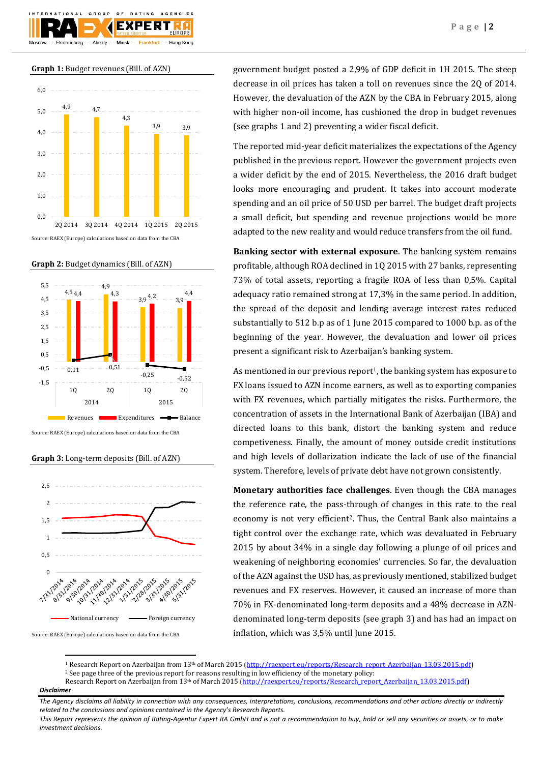

**Graph 1:** Budget revenues (Bill. of AZN)



**Graph 2:** Budget dynamics (Bill. of AZN)



Source: RAEX (Europe) calculations based on data from the CBA

**Graph 3:** Long-term deposits (Bill. of AZN)



Source: RAEX (Europe) calculations based on data from the CBA

**.** 

government budget posted a 2,9% of GDP deficit in 1H 2015. The steep decrease in oil prices has taken a toll on revenues since the 2Q of 2014. However, the devaluation of the AZN by the CBA in February 2015, along with higher non-oil income, has cushioned the drop in budget revenues (see graphs 1 and 2) preventing a wider fiscal deficit.

The reported mid-year deficit materializes the expectations of the Agency published in the previous report. However the government projects even a wider deficit by the end of 2015. Nevertheless, the 2016 draft budget looks more encouraging and prudent. It takes into account moderate spending and an oil price of 50 USD per barrel. The budget draft projects a small deficit, but spending and revenue projections would be more adapted to the new reality and would reduce transfers from the oil fund.

**Banking sector with external exposure**. The banking system remains profitable, although ROA declined in 1Q 2015 with 27 banks, representing 73% of total assets, reporting a fragile ROA of less than 0,5%. Capital adequacy ratio remained strong at 17,3% in the same period. In addition, the spread of the deposit and lending average interest rates reduced substantially to 512 b.p as of 1 June 2015 compared to 1000 b.p. as of the beginning of the year. However, the devaluation and lower oil prices present a significant risk to Azerbaijan's banking system.

As mentioned in our previous report<sup>1</sup>, the banking system has exposure to FX loans issued to AZN income earners, as well as to exporting companies with FX revenues, which partially mitigates the risks. Furthermore, the concentration of assets in the International Bank of Azerbaijan (IBA) and directed loans to this bank, distort the banking system and reduce competiveness. Finally, the amount of money outside credit institutions and high levels of dollarization indicate the lack of use of the financial system. Therefore, levels of private debt have not grown consistently.

**Monetary authorities face challenges**. Even though the CBA manages the reference rate, the pass-through of changes in this rate to the real economy is not very efficient<sup>2</sup>. Thus, the Central Bank also maintains a tight control over the exchange rate, which was devaluated in February 2015 by about 34% in a single day following a plunge of oil prices and weakening of neighboring economies' currencies. So far, the devaluation of the AZN against the USD has, as previously mentioned, stabilized budget revenues and FX reserves. However, it caused an increase of more than 70% in FX-denominated long-term deposits and a 48% decrease in AZNdenominated long-term deposits (see graph 3) and has had an impact on inflation, which was 3,5% until June 2015.

<sup>1</sup> Research Report on Azerbaijan from 13<sup>th</sup> of March 2015 [\(http://raexpert.eu/reports/Research\\_report\\_Azerbaijan\\_13.03.2015.pdf\)](http://raexpert.eu/reports/Research_report_Azerbaijan_13.03.2015.pdf) <sup>2</sup> See page three of the previous report for reasons resulting in low efficiency of the monetary policy:

*Disclaimer*  Research Report on Azerbaijan from 13<sup>th</sup> of March 2015 [\(http://raexpert.eu/reports/Research\\_report\\_Azerbaijan\\_13.03.2015.pdf\)](http://raexpert.eu/reports/Research_report_Azerbaijan_13.03.2015.pdf)

*The Agency disclaims all liability in connection with any consequences, interpretations, conclusions, recommendations and other actions directly or indirectly related to the conclusions and opinions contained in the Agency's Research Reports.*

*This Report represents the opinion of Rating-Agentur Expert RA GmbH and is not a recommendation to buy, hold or sell any securities or assets, or to make investment decisions.*